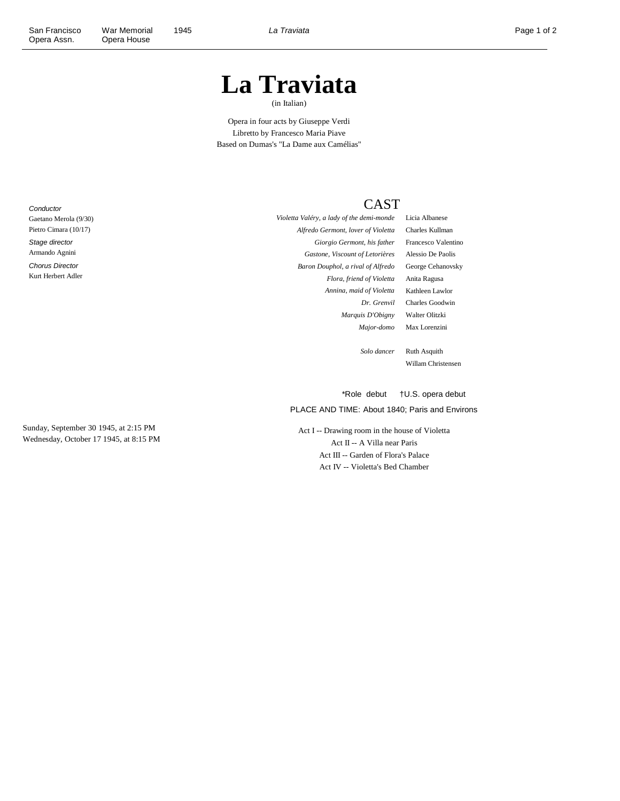## **La Traviata**

(in Italian)

Opera in four acts by Giuseppe Verdi Libretto by Francesco Maria Piave Based on Dumas's "La Dame aux Camélias"

**Conductor** Gaetano Merola (9/30) Pietro Cimara (10/17) Stage director

Armando Agnini

Chorus Director Kurt Herbert Adler *Alfredo Germont, lover of Violetta* Charles Kullman *Giorgio Germont, his father* Francesco Valentino *Gastone, Viscount of Letorières* Alessio De Paolis *Baron Douphol, a rival of Alfredo* George Cehanovsky *Flora, friend of Violetta* Anita Ragusa *Annina, maid of Violetta* Kathleen Lawlor *Marquis D'Obigny* Walter Olitzki

*Violetta Valéry, a lady of the demi-monde* Licia Albanese *Dr. Grenvil* Charles Goodwin *Major-domo* Max Lorenzini

> *Solo dancer* Ruth Asquith Willam Christensen

PLACE AND TIME: About 1840; Paris and Environs \*Role debut †U.S. opera debut

CAST

Act I -- Drawing room in the house of Violetta Act II -- A Villa near Paris Act III -- Garden of Flora's Palace Act IV -- Violetta's Bed Chamber

Sunday, September 30 1945, at 2:15 PM Wednesday, October 17 1945, at 8:15 PM